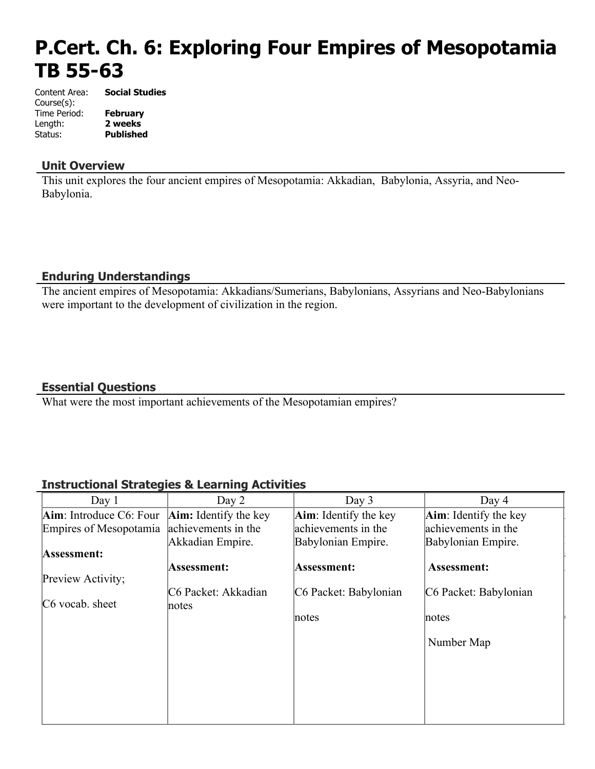# **P.Cert. Ch. 6: Exploring Four Empires of Mesopotamia TB 55-63**

Content Area: **Social Studies** Course(s): Time Period: **February** Length: **2 weeks** Status: **Published**

# **Unit Overview**

This unit explores the four ancient empires of Mesopotamia: Akkadian, Babylonia, Assyria, and Neo-Babylonia.

# **Enduring Understandings**

The ancient empires of Mesopotamia: Akkadians/Sumerians, Babylonians, Assyrians and Neo-Babylonians were important to the development of civilization in the region.

# **Essential Questions**

What were the most important achievements of the Mesopotamian empires?

# **Instructional Strategies & Learning Activities**

| Day 1                      | Day 2                        | Day $3$                         | Day 4                         |
|----------------------------|------------------------------|---------------------------------|-------------------------------|
| $Aim$ : Introduce C6: Four | <b>Aim:</b> Identify the key | $\text{Aim}$ : Identify the key | <b>Aim</b> : Identify the key |
| Empires of Mesopotamia     | achievements in the          | achievements in the             | achievements in the           |
|                            | Akkadian Empire.             | Babylonian Empire.              | Babylonian Empire.            |
| Assessment:                |                              |                                 |                               |
|                            | Assessment:                  | Assessment:                     | Assessment:                   |
| Preview Activity;          |                              |                                 |                               |
|                            | C6 Packet: Akkadian          | C6 Packet: Babylonian           | C6 Packet: Babylonian         |
| $C6$ vocab. sheet          | notes                        |                                 |                               |
|                            |                              | notes                           | notes                         |
|                            |                              |                                 |                               |
|                            |                              |                                 | Number Map                    |
|                            |                              |                                 |                               |
|                            |                              |                                 |                               |
|                            |                              |                                 |                               |
|                            |                              |                                 |                               |
|                            |                              |                                 |                               |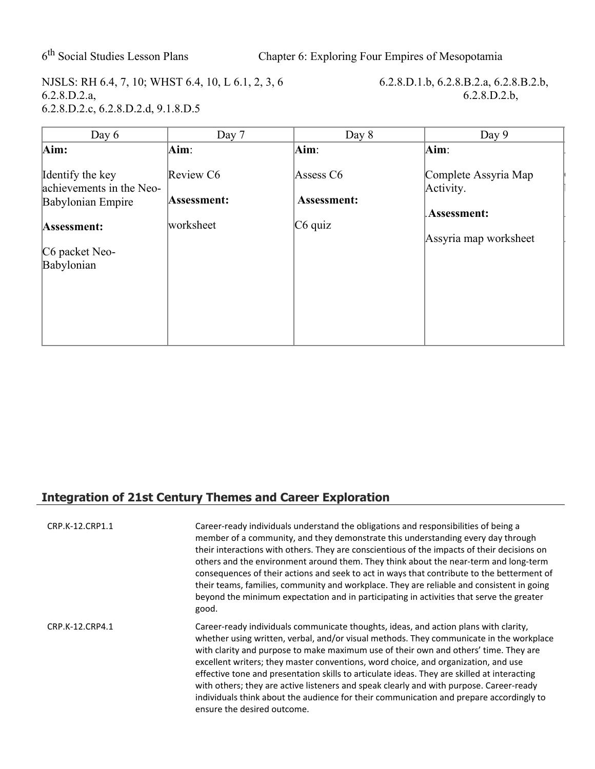6<sup>th</sup> Social Studies Lesson Plans

Chapter 6: Exploring Four Empires of Mesopotamia

NJSLS: RH 6.4, 7, 10; WHST 6.4, 10, L 6.1, 2, 3, 6 6.2.8.D.1.b, 6.2.8.B.2.a, 6.2.8.B.2.b, 6.2.8.D.2.b, 6.2.8.D.2.b, 6.2.8.D.2.c, 6.2.8.D.2.d, 9.1.8.D.5

 $6.2.8.D.2.b,$ 

| Day $6$                                      | Day 7       | Day 8                       | Day 9                             |
|----------------------------------------------|-------------|-----------------------------|-----------------------------------|
| Aim:                                         | $Aim$ :     | $\mathbf{Aim}$ :            | Aim:                              |
| Identify the key<br>achievements in the Neo- | Review C6   | Assess C6                   | Complete Assyria Map<br>Activity. |
| Babylonian Empire                            | Assessment: | Assessment:                 |                                   |
| Assessment:                                  | worksheet   | $\overline{\text{C6}}$ quiz | .Assessment:                      |
|                                              |             |                             | Assyria map worksheet             |
| C6 packet Neo-                               |             |                             |                                   |
| Babylonian                                   |             |                             |                                   |
|                                              |             |                             |                                   |
|                                              |             |                             |                                   |
|                                              |             |                             |                                   |
|                                              |             |                             |                                   |

# **Integration of 21st Century Themes and Career Exploration**

| CRP.K-12.CRP1.1 | Career-ready individuals understand the obligations and responsibilities of being a<br>member of a community, and they demonstrate this understanding every day through<br>their interactions with others. They are conscientious of the impacts of their decisions on<br>others and the environment around them. They think about the near-term and long-term<br>consequences of their actions and seek to act in ways that contribute to the betterment of<br>their teams, families, community and workplace. They are reliable and consistent in going<br>beyond the minimum expectation and in participating in activities that serve the greater<br>good.                    |
|-----------------|-----------------------------------------------------------------------------------------------------------------------------------------------------------------------------------------------------------------------------------------------------------------------------------------------------------------------------------------------------------------------------------------------------------------------------------------------------------------------------------------------------------------------------------------------------------------------------------------------------------------------------------------------------------------------------------|
| CRP.K-12.CRP4.1 | Career-ready individuals communicate thoughts, ideas, and action plans with clarity,<br>whether using written, verbal, and/or visual methods. They communicate in the workplace<br>with clarity and purpose to make maximum use of their own and others' time. They are<br>excellent writers; they master conventions, word choice, and organization, and use<br>effective tone and presentation skills to articulate ideas. They are skilled at interacting<br>with others; they are active listeners and speak clearly and with purpose. Career-ready<br>individuals think about the audience for their communication and prepare accordingly to<br>ensure the desired outcome. |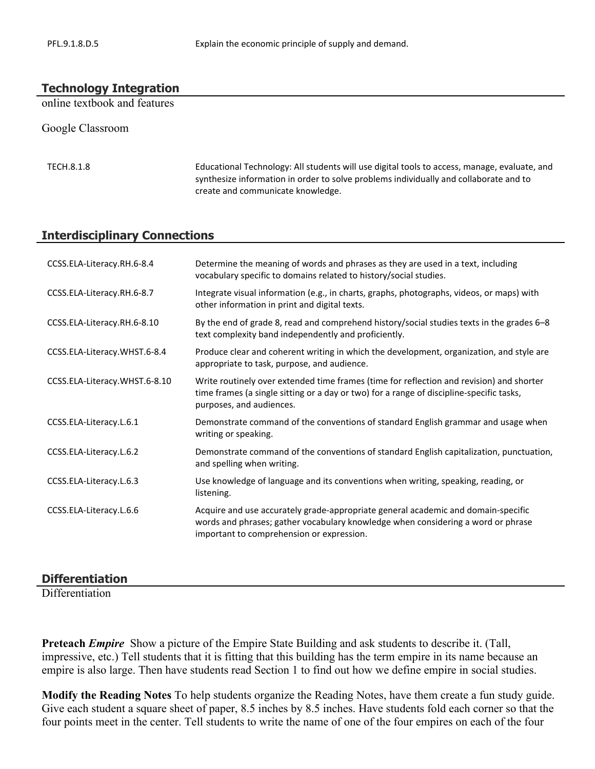#### **Technology Integration**

online textbook and features

Google Classroom

TECH.8.1.8 Educational Technology: All students will use digital tools to access, manage, evaluate, and synthesize information in order to solve problems individually and collaborate and to create and communicate knowledge.

#### **Interdisciplinary Connections**

| CCSS.ELA-Literacy.RH.6-8.4    | Determine the meaning of words and phrases as they are used in a text, including<br>vocabulary specific to domains related to history/social studies.                                                              |
|-------------------------------|--------------------------------------------------------------------------------------------------------------------------------------------------------------------------------------------------------------------|
| CCSS.ELA-Literacy.RH.6-8.7    | Integrate visual information (e.g., in charts, graphs, photographs, videos, or maps) with<br>other information in print and digital texts.                                                                         |
| CCSS.ELA-Literacy.RH.6-8.10   | By the end of grade 8, read and comprehend history/social studies texts in the grades 6-8<br>text complexity band independently and proficiently.                                                                  |
| CCSS.ELA-Literacy.WHST.6-8.4  | Produce clear and coherent writing in which the development, organization, and style are<br>appropriate to task, purpose, and audience.                                                                            |
| CCSS.ELA-Literacy.WHST.6-8.10 | Write routinely over extended time frames (time for reflection and revision) and shorter<br>time frames (a single sitting or a day or two) for a range of discipline-specific tasks,<br>purposes, and audiences.   |
| CCSS.ELA-Literacy.L.6.1       | Demonstrate command of the conventions of standard English grammar and usage when<br>writing or speaking.                                                                                                          |
| CCSS.ELA-Literacy.L.6.2       | Demonstrate command of the conventions of standard English capitalization, punctuation,<br>and spelling when writing.                                                                                              |
| CCSS.ELA-Literacy.L.6.3       | Use knowledge of language and its conventions when writing, speaking, reading, or<br>listening.                                                                                                                    |
| CCSS.ELA-Literacy.L.6.6       | Acquire and use accurately grade-appropriate general academic and domain-specific<br>words and phrases; gather vocabulary knowledge when considering a word or phrase<br>important to comprehension or expression. |

#### **Differentiation**

**Differentiation** 

**Preteach** *Empire* Show a picture of the Empire State Building and ask students to describe it. (Tall, impressive, etc.) Tell students that it is fitting that this building has the term empire in its name because an empire is also large. Then have students read Section 1 to find out how we define empire in social studies.

**Modify the Reading Notes** To help students organize the Reading Notes, have them create a fun study guide. Give each student a square sheet of paper, 8.5 inches by 8.5 inches. Have students fold each corner so that the four points meet in the center. Tell students to write the name of one of the four empires on each of the four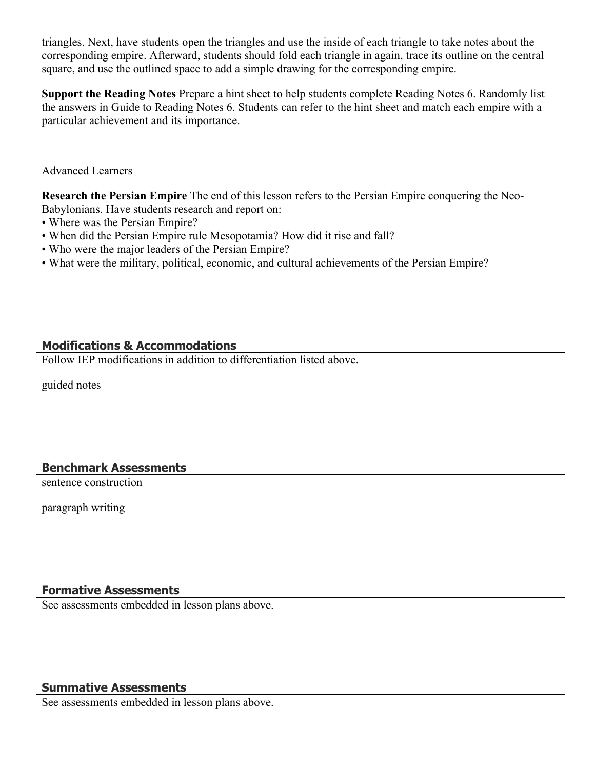triangles. Next, have students open the triangles and use the inside of each triangle to take notes about the corresponding empire. Afterward, students should fold each triangle in again, trace its outline on the central square, and use the outlined space to add a simple drawing for the corresponding empire.

**Support the Reading Notes** Prepare a hint sheet to help students complete Reading Notes 6. Randomly list the answers in Guide to Reading Notes 6. Students can refer to the hint sheet and match each empire with a particular achievement and its importance.

Advanced Learners

**Research the Persian Empire** The end of this lesson refers to the Persian Empire conquering the Neo-Babylonians. Have students research and report on:

- Where was the Persian Empire?
- When did the Persian Empire rule Mesopotamia? How did it rise and fall?
- Who were the major leaders of the Persian Empire?
- What were the military, political, economic, and cultural achievements of the Persian Empire?

# **Modifications & Accommodations**

Follow IEP modifications in addition to differentiation listed above.

guided notes

# **Benchmark Assessments**

sentence construction

paragraph writing

# **Formative Assessments**

See assessments embedded in lesson plans above.

# **Summative Assessments**

See assessments embedded in lesson plans above.